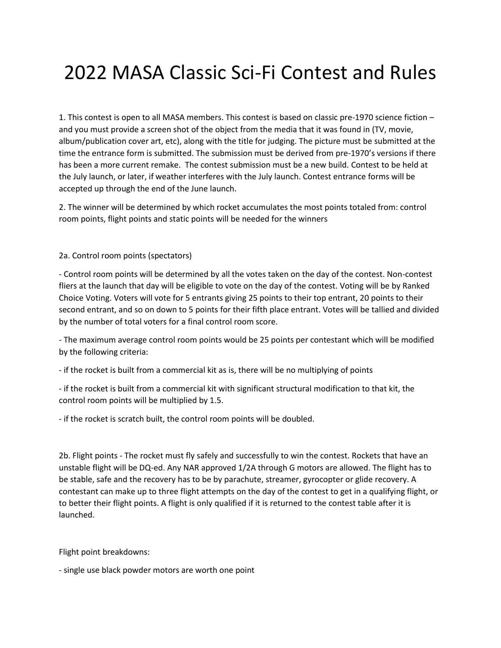## 2022 MASA Classic Sci-Fi Contest and Rules

1. This contest is open to all MASA members. This contest is based on classic pre-1970 science fiction – and you must provide a screen shot of the object from the media that it was found in (TV, movie, album/publication cover art, etc), along with the title for judging. The picture must be submitted at the time the entrance form is submitted. The submission must be derived from pre-1970's versions if there has been a more current remake. The contest submission must be a new build. Contest to be held at the July launch, or later, if weather interferes with the July launch. Contest entrance forms will be accepted up through the end of the June launch.

2. The winner will be determined by which rocket accumulates the most points totaled from: control room points, flight points and static points will be needed for the winners

2a. Control room points (spectators)

- Control room points will be determined by all the votes taken on the day of the contest. Non-contest fliers at the launch that day will be eligible to vote on the day of the contest. Voting will be by Ranked Choice Voting. Voters will vote for 5 entrants giving 25 points to their top entrant, 20 points to their second entrant, and so on down to 5 points for their fifth place entrant. Votes will be tallied and divided by the number of total voters for a final control room score.

- The maximum average control room points would be 25 points per contestant which will be modified by the following criteria:

- if the rocket is built from a commercial kit as is, there will be no multiplying of points

- if the rocket is built from a commercial kit with significant structural modification to that kit, the control room points will be multiplied by 1.5.

- if the rocket is scratch built, the control room points will be doubled.

2b. Flight points - The rocket must fly safely and successfully to win the contest. Rockets that have an unstable flight will be DQ-ed. Any NAR approved 1/2A through G motors are allowed. The flight has to be stable, safe and the recovery has to be by parachute, streamer, gyrocopter or glide recovery. A contestant can make up to three flight attempts on the day of the contest to get in a qualifying flight, or to better their flight points. A flight is only qualified if it is returned to the contest table after it is launched.

Flight point breakdowns:

- single use black powder motors are worth one point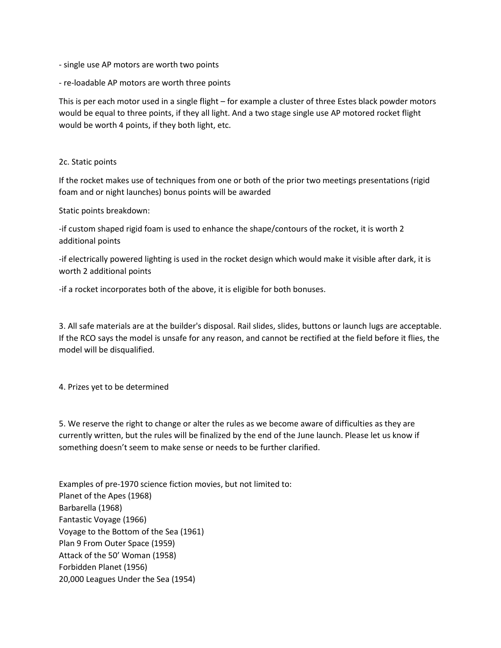- single use AP motors are worth two points
- re-loadable AP motors are worth three points

This is per each motor used in a single flight – for example a cluster of three Estes black powder motors would be equal to three points, if they all light. And a two stage single use AP motored rocket flight would be worth 4 points, if they both light, etc.

## 2c. Static points

If the rocket makes use of techniques from one or both of the prior two meetings presentations (rigid foam and or night launches) bonus points will be awarded

Static points breakdown:

-if custom shaped rigid foam is used to enhance the shape/contours of the rocket, it is worth 2 additional points

-if electrically powered lighting is used in the rocket design which would make it visible after dark, it is worth 2 additional points

-if a rocket incorporates both of the above, it is eligible for both bonuses.

3. All safe materials are at the builder's disposal. Rail slides, slides, buttons or launch lugs are acceptable. If the RCO says the model is unsafe for any reason, and cannot be rectified at the field before it flies, the model will be disqualified.

4. Prizes yet to be determined

5. We reserve the right to change or alter the rules as we become aware of difficulties as they are currently written, but the rules will be finalized by the end of the June launch. Please let us know if something doesn't seem to make sense or needs to be further clarified.

Examples of pre-1970 science fiction movies, but not limited to: Planet of the Apes (1968) Barbarella (1968) Fantastic Voyage (1966) Voyage to the Bottom of the Sea (1961) Plan 9 From Outer Space (1959) Attack of the 50' Woman (1958) Forbidden Planet (1956) 20,000 Leagues Under the Sea (1954)